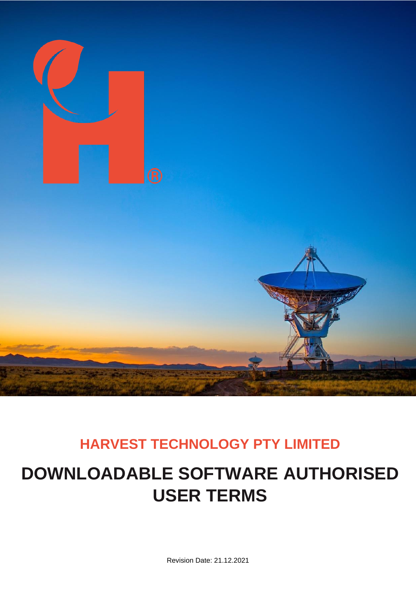

# **HARVEST TECHNOLOGY PTY LIMITED**

# **DOWNLOADABLE SOFTWARE AUTHORISED USER TERMS**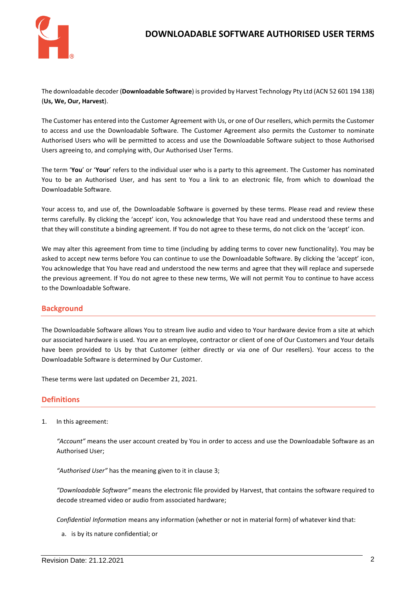

### **DOWNLOADABLE SOFTWARE AUTHORISED USER TERMS**

The downloadable decoder (**Downloadable Software**) is provided by Harvest Technology Pty Ltd (ACN 52 601 194 138) (**Us, We, Our, Harvest**).

The Customer has entered into the Customer Agreement with Us, or one of Our resellers, which permits the Customer to access and use the Downloadable Software. The Customer Agreement also permits the Customer to nominate Authorised Users who will be permitted to access and use the Downloadable Software subject to those Authorised Users agreeing to, and complying with, Our Authorised User Terms.

The term '**You**' or '**Your**' refers to the individual user who is a party to this agreement. The Customer has nominated You to be an Authorised User, and has sent to You a link to an electronic file, from which to download the Downloadable Software.

Your access to, and use of, the Downloadable Software is governed by these terms. Please read and review these terms carefully. By clicking the 'accept' icon, You acknowledge that You have read and understood these terms and that they will constitute a binding agreement. If You do not agree to these terms, do not click on the 'accept' icon.

We may alter this agreement from time to time (including by adding terms to cover new functionality). You may be asked to accept new terms before You can continue to use the Downloadable Software. By clicking the 'accept' icon, You acknowledge that You have read and understood the new terms and agree that they will replace and supersede the previous agreement. If You do not agree to these new terms, We will not permit You to continue to have access to the Downloadable Software.

#### **Background**

The Downloadable Software allows You to stream live audio and video to Your hardware device from a site at which our associated hardware is used. You are an employee, contractor or client of one of Our Customers and Your details have been provided to Us by that Customer (either directly or via one of Our resellers). Your access to the Downloadable Software is determined by Our Customer.

These terms were last updated on December 21, 2021.

#### **Definitions**

1. In this agreement:

*"Account"* means the user account created by You in order to access and use the Downloadable Software as an Authorised User;

*"Authorised User"* has the meaning given to it in clause [3;](#page-2-0)

*"Downloadable Software"* means the electronic file provided by Harvest, that contains the software required to decode streamed video or audio from associated hardware;

*Confidential Information* means any information (whether or not in material form) of whatever kind that:

a. is by its nature confidential; or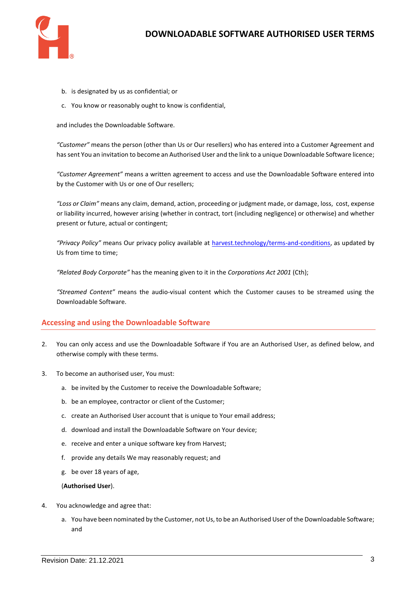

- b. is designated by us as confidential; or
- c. You know or reasonably ought to know is confidential,

and includes the Downloadable Software.

*"Customer"* means the person (other than Us or Our resellers) who has entered into a Customer Agreement and has sent You an invitation to become an Authorised User and the link to a unique Downloadable Software licence;

*"Customer Agreement"* means a written agreement to access and use the Downloadable Software entered into by the Customer with Us or one of Our resellers;

*"Loss or Claim"* means any claim, demand, action, proceeding or judgment made, or damage, loss, cost, expense or liability incurred, however arising (whether in contract, tort (including negligence) or otherwise) and whether present or future, actual or contingent;

*"Privacy Policy"* means Our privacy policy available at [harvest.technology/terms-and-conditions,](file:///C:/Users/lindashields/Harvest%20Technology%20Dropbox/000-Harvest%20New/04%20Projects/HAT0044%20AOS%20Contract%20Development/01%20Commercial/AVR%20T&C/harvest.technology/terms-and-conditions) as updated by Us from time to time;

*"Related Body Corporate"* has the meaning given to it in the *Corporations Act 2001* (Cth);

*"Streamed Content"* means the audio-visual content which the Customer causes to be streamed using the Downloadable Software.

#### **Accessing and using the Downloadable Software**

- 2. You can only access and use the Downloadable Software if You are an Authorised User, as defined below, and otherwise comply with these terms.
- <span id="page-2-0"></span>3. To become an authorised user, You must:
	- a. be invited by the Customer to receive the Downloadable Software;
	- b. be an employee, contractor or client of the Customer;
	- c. create an Authorised User account that is unique to Your email address;
	- d. download and install the Downloadable Software on Your device;
	- e. receive and enter a unique software key from Harvest;
	- f. provide any details We may reasonably request; and
	- g. be over 18 years of age,

#### (**Authorised User**).

- 4. You acknowledge and agree that:
	- a. You have been nominated by the Customer, not Us, to be an Authorised User of the Downloadable Software; and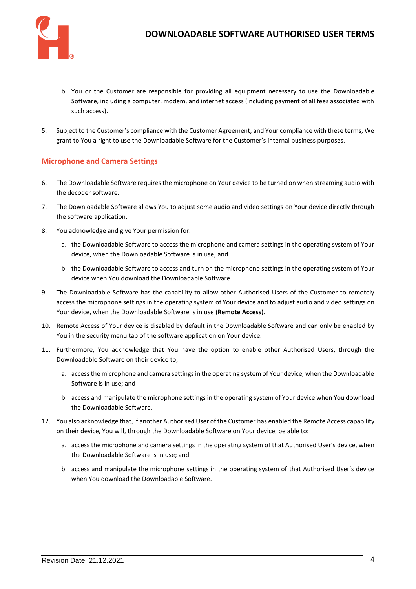

- b. You or the Customer are responsible for providing all equipment necessary to use the Downloadable Software, including a computer, modem, and internet access (including payment of all fees associated with such access).
- 5. Subject to the Customer's compliance with the Customer Agreement, and Your compliance with these terms, We grant to You a right to use the Downloadable Software for the Customer's internal business purposes.

#### **Microphone and Camera Settings**

- 6. The Downloadable Software requires the microphone on Your device to be turned on when streaming audio with the decoder software.
- 7. The Downloadable Software allows You to adjust some audio and video settings on Your device directly through the software application.
- 8. You acknowledge and give Your permission for:
	- a. the Downloadable Software to access the microphone and camera settings in the operating system of Your device, when the Downloadable Software is in use; and
	- b. the Downloadable Software to access and turn on the microphone settings in the operating system of Your device when You download the Downloadable Software.
- 9. The Downloadable Software has the capability to allow other Authorised Users of the Customer to remotely access the microphone settings in the operating system of Your device and to adjust audio and video settings on Your device, when the Downloadable Software is in use (**Remote Access**).
- 10. Remote Access of Your device is disabled by default in the Downloadable Software and can only be enabled by You in the security menu tab of the software application on Your device.
- 11. Furthermore, You acknowledge that You have the option to enable other Authorised Users, through the Downloadable Software on their device to;
	- a. access the microphone and camera settings in the operating system of Your device, when the Downloadable Software is in use; and
	- b. access and manipulate the microphone settings in the operating system of Your device when You download the Downloadable Software.
- 12. You also acknowledge that, if another Authorised User of the Customer has enabled the Remote Access capability on their device, You will, through the Downloadable Software on Your device, be able to:
	- a. access the microphone and camera settings in the operating system of that Authorised User's device, when the Downloadable Software is in use; and
	- b. access and manipulate the microphone settings in the operating system of that Authorised User's device when You download the Downloadable Software.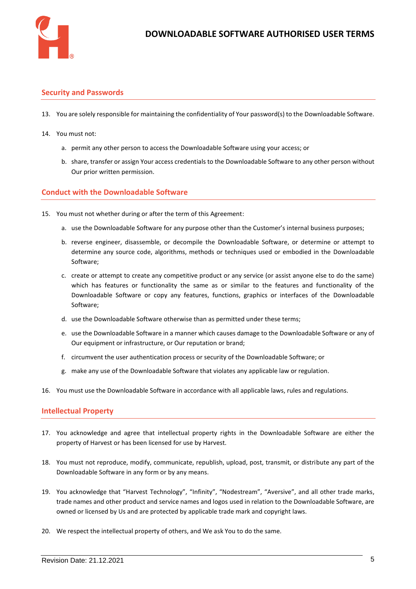

#### **Security and Passwords**

- 13. You are solely responsible for maintaining the confidentiality of Your password(s) to the Downloadable Software.
- 14. You must not:
	- a. permit any other person to access the Downloadable Software using your access; or
	- b. share, transfer or assign Your access credentials to the Downloadable Software to any other person without Our prior written permission.

#### **Conduct with the Downloadable Software**

- 15. You must not whether during or after the term of this Agreement:
	- a. use the Downloadable Software for any purpose other than the Customer's internal business purposes;
	- b. reverse engineer, disassemble, or decompile the Downloadable Software, or determine or attempt to determine any source code, algorithms, methods or techniques used or embodied in the Downloadable Software;
	- c. create or attempt to create any competitive product or any service (or assist anyone else to do the same) which has features or functionality the same as or similar to the features and functionality of the Downloadable Software or copy any features, functions, graphics or interfaces of the Downloadable Software;
	- d. use the Downloadable Software otherwise than as permitted under these terms;
	- e. use the Downloadable Software in a manner which causes damage to the Downloadable Software or any of Our equipment or infrastructure, or Our reputation or brand;
	- f. circumvent the user authentication process or security of the Downloadable Software; or
	- g. make any use of the Downloadable Software that violates any applicable law or regulation.
- 16. You must use the Downloadable Software in accordance with all applicable laws, rules and regulations.

#### **Intellectual Property**

- 17. You acknowledge and agree that intellectual property rights in the Downloadable Software are either the property of Harvest or has been licensed for use by Harvest.
- 18. You must not reproduce, modify, communicate, republish, upload, post, transmit, or distribute any part of the Downloadable Software in any form or by any means.
- 19. You acknowledge that "Harvest Technology", "Infinity", "Nodestream", "Aversive", and all other trade marks, trade names and other product and service names and logos used in relation to the Downloadable Software, are owned or licensed by Us and are protected by applicable trade mark and copyright laws.
- 20. We respect the intellectual property of others, and We ask You to do the same.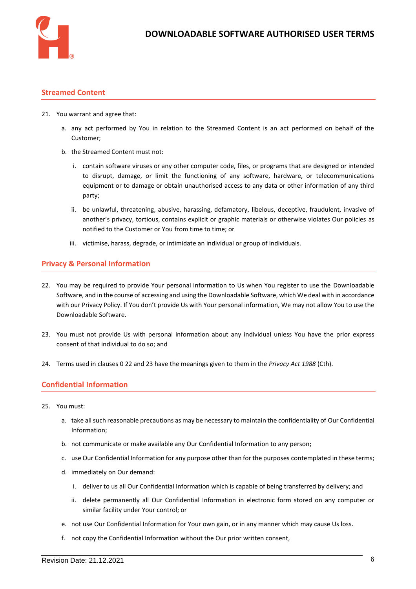

#### **Streamed Content**

- 21. You warrant and agree that:
	- a. any act performed by You in relation to the Streamed Content is an act performed on behalf of the Customer;
	- b. the Streamed Content must not:
		- i. contain software viruses or any other computer code, files, or programs that are designed or intended to disrupt, damage, or limit the functioning of any software, hardware, or telecommunications equipment or to damage or obtain unauthorised access to any data or other information of any third party;
		- ii. be unlawful, threatening, abusive, harassing, defamatory, libelous, deceptive, fraudulent, invasive of another's privacy, tortious, contains explicit or graphic materials or otherwise violates Our policies as notified to the Customer or You from time to time; or
		- iii. victimise, harass, degrade, or intimidate an individual or group of individuals.

#### **Privacy & Personal Information**

- <span id="page-5-1"></span><span id="page-5-0"></span>22. You may be required to provide Your personal information to Us when You register to use the Downloadable Software, and in the course of accessing and using the Downloadable Software, which We deal with in accordance with our Privacy Policy. If You don't provide Us with Your personal information, We may not allow You to use the Downloadable Software.
- <span id="page-5-2"></span>23. You must not provide Us with personal information about any individual unless You have the prior express consent of that individual to do so; and
- 24. Terms used in clauses [0](#page-5-0) [22](#page-5-1) an[d 23](#page-5-2) have the meanings given to them in the *Privacy Act 1988* (Cth).

#### **Confidential Information**

- <span id="page-5-3"></span>25. You must:
	- a. take all such reasonable precautions as may be necessary to maintain the confidentiality of Our Confidential Information;
	- b. not communicate or make available any Our Confidential Information to any person;
	- c. use Our Confidential Information for any purpose other than for the purposes contemplated in these terms;
	- d. immediately on Our demand:
		- i. deliver to us all Our Confidential Information which is capable of being transferred by delivery; and
		- ii. delete permanently all Our Confidential Information in electronic form stored on any computer or similar facility under Your control; or
	- e. not use Our Confidential Information for Your own gain, or in any manner which may cause Us loss.
	- f. not copy the Confidential Information without the Our prior written consent,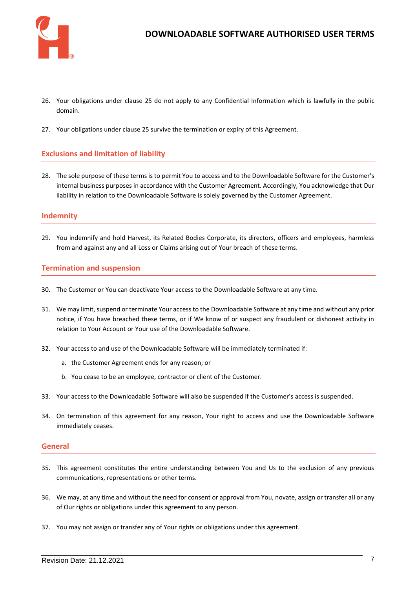

- 26. Your obligations under clause [25](#page-5-3) do not apply to any Confidential Information which is lawfully in the public domain.
- 27. Your obligations under clause [25](#page-5-3) survive the termination or expiry of this Agreement.

#### **Exclusions and limitation of liability**

28. The sole purpose of these terms is to permit You to access and to the Downloadable Software for the Customer's internal business purposes in accordance with the Customer Agreement. Accordingly, You acknowledge that Our liability in relation to the Downloadable Software is solely governed by the Customer Agreement.

#### **Indemnity**

29. You indemnify and hold Harvest, its Related Bodies Corporate, its directors, officers and employees, harmless from and against any and all Loss or Claims arising out of Your breach of these terms.

#### **Termination and suspension**

- 30. The Customer or You can deactivate Your access to the Downloadable Software at any time.
- 31. We may limit, suspend or terminate Your access to the Downloadable Software at any time and without any prior notice, if You have breached these terms, or if We know of or suspect any fraudulent or dishonest activity in relation to Your Account or Your use of the Downloadable Software.
- 32. Your access to and use of the Downloadable Software will be immediately terminated if:
	- a. the Customer Agreement ends for any reason; or
	- b. You cease to be an employee, contractor or client of the Customer.
- 33. Your access to the Downloadable Software will also be suspended if the Customer's access is suspended.
- 34. On termination of this agreement for any reason, Your right to access and use the Downloadable Software immediately ceases.

#### **General**

- 35. This agreement constitutes the entire understanding between You and Us to the exclusion of any previous communications, representations or other terms.
- 36. We may, at any time and without the need for consent or approval from You, novate, assign or transfer all or any of Our rights or obligations under this agreement to any person.
- 37. You may not assign or transfer any of Your rights or obligations under this agreement.